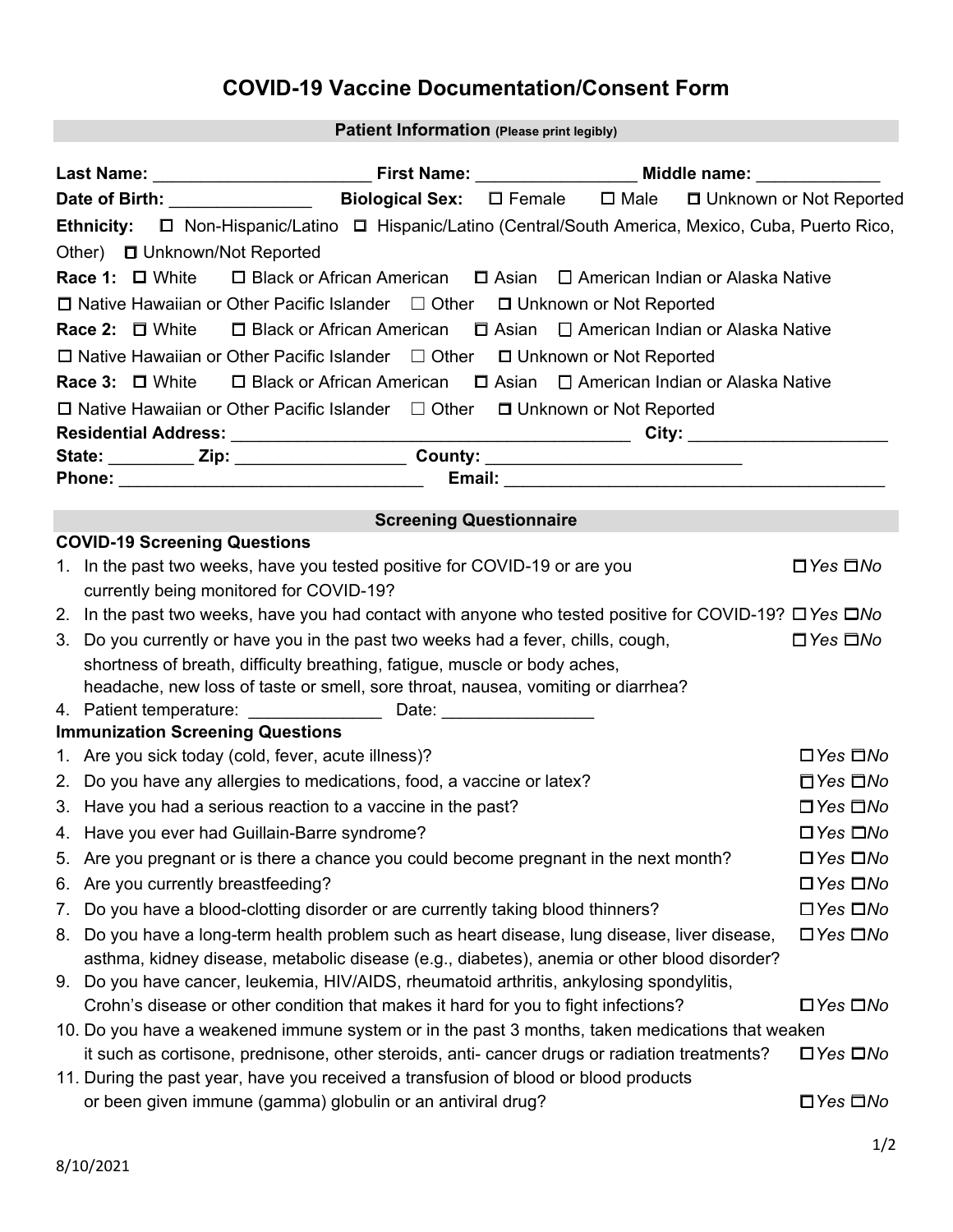## **COVID-19 Vaccine Documentation/Consent Form**

## **Patient Information (Please print legibly)**

| Biological Sex: □ Female □ Male □ Unknown or Not Reported<br>Ethnicity: $\Box$ Non-Hispanic/Latino $\Box$ Hispanic/Latino (Central/South America, Mexico, Cuba, Puerto Rico,<br>Other) □ Unknown/Not Reported<br>Race 1: □ White □ Black or African American □ Asian □ American Indian or Alaska Native<br>$\Box$ Native Hawaiian or Other Pacific Islander $\Box$ Other $\Box$ Unknown or Not Reported<br>Race 2: □ White □ Black or African American □ Asian □ American Indian or Alaska Native<br>$\Box$ Native Hawaiian or Other Pacific Islander $\Box$ Other $\Box$ Unknown or Not Reported<br>$\Box$ Black or African American $\Box$ Asian $\Box$ American Indian or Alaska Native<br>Race 3: $\Box$ White<br>$\Box$ Native Hawaiian or Other Pacific Islander $\Box$ Other $\Box$ Unknown or Not Reported<br><b>Screening Questionnaire</b><br><b>COVID-19 Screening Questions</b><br>1. In the past two weeks, have you tested positive for COVID-19 or are you<br>$\Box$ Yes $\Box$ No<br>currently being monitored for COVID-19?<br>2. In the past two weeks, have you had contact with anyone who tested positive for COVID-19? □ Yes □ No<br>3. Do you currently or have you in the past two weeks had a fever, chills, cough,<br>$\Box$ Yes $\Box$ No<br>shortness of breath, difficulty breathing, fatigue, muscle or body aches,<br>headache, new loss of taste or smell, sore throat, nausea, vomiting or diarrhea?<br><b>Immunization Screening Questions</b><br>1. Are you sick today (cold, fever, acute illness)?<br>$\Box$ Yes $\Box$ No<br>2. Do you have any allergies to medications, food, a vaccine or latex?<br>$\Box$ Yes $\Box$ No<br>3. Have you had a serious reaction to a vaccine in the past?<br>$\Box$ Yes $\Box$ No<br>4. Have you ever had Guillain-Barre syndrome?<br>$\Box$ Yes $\Box$ No<br>5. Are you pregnant or is there a chance you could become pregnant in the next month?<br>□Yes □No<br>Are you currently breastfeeding?<br>$\Box$ Yes $\Box$ No<br>6.<br>Do you have a blood-clotting disorder or are currently taking blood thinners?<br>$\Box$ Yes $\Box$ No<br>7.<br>Do you have a long-term health problem such as heart disease, lung disease, liver disease,<br>$\Box$ Yes $\Box$ No<br>8.<br>asthma, kidney disease, metabolic disease (e.g., diabetes), anemia or other blood disorder? |                                                                                               |                                                                                       |  |  |  |  |  |  |
|-----------------------------------------------------------------------------------------------------------------------------------------------------------------------------------------------------------------------------------------------------------------------------------------------------------------------------------------------------------------------------------------------------------------------------------------------------------------------------------------------------------------------------------------------------------------------------------------------------------------------------------------------------------------------------------------------------------------------------------------------------------------------------------------------------------------------------------------------------------------------------------------------------------------------------------------------------------------------------------------------------------------------------------------------------------------------------------------------------------------------------------------------------------------------------------------------------------------------------------------------------------------------------------------------------------------------------------------------------------------------------------------------------------------------------------------------------------------------------------------------------------------------------------------------------------------------------------------------------------------------------------------------------------------------------------------------------------------------------------------------------------------------------------------------------------------------------------------------------------------------------------------------------------------------------------------------------------------------------------------------------------------------------------------------------------------------------------------------------------------------------------------------------------------------------------------------------------------------------------------------------------------------------------------------------------------------------------------------------|-----------------------------------------------------------------------------------------------|---------------------------------------------------------------------------------------|--|--|--|--|--|--|
|                                                                                                                                                                                                                                                                                                                                                                                                                                                                                                                                                                                                                                                                                                                                                                                                                                                                                                                                                                                                                                                                                                                                                                                                                                                                                                                                                                                                                                                                                                                                                                                                                                                                                                                                                                                                                                                                                                                                                                                                                                                                                                                                                                                                                                                                                                                                                     |                                                                                               |                                                                                       |  |  |  |  |  |  |
|                                                                                                                                                                                                                                                                                                                                                                                                                                                                                                                                                                                                                                                                                                                                                                                                                                                                                                                                                                                                                                                                                                                                                                                                                                                                                                                                                                                                                                                                                                                                                                                                                                                                                                                                                                                                                                                                                                                                                                                                                                                                                                                                                                                                                                                                                                                                                     |                                                                                               |                                                                                       |  |  |  |  |  |  |
|                                                                                                                                                                                                                                                                                                                                                                                                                                                                                                                                                                                                                                                                                                                                                                                                                                                                                                                                                                                                                                                                                                                                                                                                                                                                                                                                                                                                                                                                                                                                                                                                                                                                                                                                                                                                                                                                                                                                                                                                                                                                                                                                                                                                                                                                                                                                                     |                                                                                               |                                                                                       |  |  |  |  |  |  |
|                                                                                                                                                                                                                                                                                                                                                                                                                                                                                                                                                                                                                                                                                                                                                                                                                                                                                                                                                                                                                                                                                                                                                                                                                                                                                                                                                                                                                                                                                                                                                                                                                                                                                                                                                                                                                                                                                                                                                                                                                                                                                                                                                                                                                                                                                                                                                     |                                                                                               |                                                                                       |  |  |  |  |  |  |
|                                                                                                                                                                                                                                                                                                                                                                                                                                                                                                                                                                                                                                                                                                                                                                                                                                                                                                                                                                                                                                                                                                                                                                                                                                                                                                                                                                                                                                                                                                                                                                                                                                                                                                                                                                                                                                                                                                                                                                                                                                                                                                                                                                                                                                                                                                                                                     |                                                                                               |                                                                                       |  |  |  |  |  |  |
|                                                                                                                                                                                                                                                                                                                                                                                                                                                                                                                                                                                                                                                                                                                                                                                                                                                                                                                                                                                                                                                                                                                                                                                                                                                                                                                                                                                                                                                                                                                                                                                                                                                                                                                                                                                                                                                                                                                                                                                                                                                                                                                                                                                                                                                                                                                                                     |                                                                                               |                                                                                       |  |  |  |  |  |  |
|                                                                                                                                                                                                                                                                                                                                                                                                                                                                                                                                                                                                                                                                                                                                                                                                                                                                                                                                                                                                                                                                                                                                                                                                                                                                                                                                                                                                                                                                                                                                                                                                                                                                                                                                                                                                                                                                                                                                                                                                                                                                                                                                                                                                                                                                                                                                                     |                                                                                               |                                                                                       |  |  |  |  |  |  |
|                                                                                                                                                                                                                                                                                                                                                                                                                                                                                                                                                                                                                                                                                                                                                                                                                                                                                                                                                                                                                                                                                                                                                                                                                                                                                                                                                                                                                                                                                                                                                                                                                                                                                                                                                                                                                                                                                                                                                                                                                                                                                                                                                                                                                                                                                                                                                     |                                                                                               |                                                                                       |  |  |  |  |  |  |
|                                                                                                                                                                                                                                                                                                                                                                                                                                                                                                                                                                                                                                                                                                                                                                                                                                                                                                                                                                                                                                                                                                                                                                                                                                                                                                                                                                                                                                                                                                                                                                                                                                                                                                                                                                                                                                                                                                                                                                                                                                                                                                                                                                                                                                                                                                                                                     |                                                                                               |                                                                                       |  |  |  |  |  |  |
|                                                                                                                                                                                                                                                                                                                                                                                                                                                                                                                                                                                                                                                                                                                                                                                                                                                                                                                                                                                                                                                                                                                                                                                                                                                                                                                                                                                                                                                                                                                                                                                                                                                                                                                                                                                                                                                                                                                                                                                                                                                                                                                                                                                                                                                                                                                                                     |                                                                                               |                                                                                       |  |  |  |  |  |  |
|                                                                                                                                                                                                                                                                                                                                                                                                                                                                                                                                                                                                                                                                                                                                                                                                                                                                                                                                                                                                                                                                                                                                                                                                                                                                                                                                                                                                                                                                                                                                                                                                                                                                                                                                                                                                                                                                                                                                                                                                                                                                                                                                                                                                                                                                                                                                                     |                                                                                               |                                                                                       |  |  |  |  |  |  |
|                                                                                                                                                                                                                                                                                                                                                                                                                                                                                                                                                                                                                                                                                                                                                                                                                                                                                                                                                                                                                                                                                                                                                                                                                                                                                                                                                                                                                                                                                                                                                                                                                                                                                                                                                                                                                                                                                                                                                                                                                                                                                                                                                                                                                                                                                                                                                     |                                                                                               |                                                                                       |  |  |  |  |  |  |
|                                                                                                                                                                                                                                                                                                                                                                                                                                                                                                                                                                                                                                                                                                                                                                                                                                                                                                                                                                                                                                                                                                                                                                                                                                                                                                                                                                                                                                                                                                                                                                                                                                                                                                                                                                                                                                                                                                                                                                                                                                                                                                                                                                                                                                                                                                                                                     |                                                                                               |                                                                                       |  |  |  |  |  |  |
|                                                                                                                                                                                                                                                                                                                                                                                                                                                                                                                                                                                                                                                                                                                                                                                                                                                                                                                                                                                                                                                                                                                                                                                                                                                                                                                                                                                                                                                                                                                                                                                                                                                                                                                                                                                                                                                                                                                                                                                                                                                                                                                                                                                                                                                                                                                                                     |                                                                                               |                                                                                       |  |  |  |  |  |  |
|                                                                                                                                                                                                                                                                                                                                                                                                                                                                                                                                                                                                                                                                                                                                                                                                                                                                                                                                                                                                                                                                                                                                                                                                                                                                                                                                                                                                                                                                                                                                                                                                                                                                                                                                                                                                                                                                                                                                                                                                                                                                                                                                                                                                                                                                                                                                                     |                                                                                               |                                                                                       |  |  |  |  |  |  |
|                                                                                                                                                                                                                                                                                                                                                                                                                                                                                                                                                                                                                                                                                                                                                                                                                                                                                                                                                                                                                                                                                                                                                                                                                                                                                                                                                                                                                                                                                                                                                                                                                                                                                                                                                                                                                                                                                                                                                                                                                                                                                                                                                                                                                                                                                                                                                     |                                                                                               |                                                                                       |  |  |  |  |  |  |
|                                                                                                                                                                                                                                                                                                                                                                                                                                                                                                                                                                                                                                                                                                                                                                                                                                                                                                                                                                                                                                                                                                                                                                                                                                                                                                                                                                                                                                                                                                                                                                                                                                                                                                                                                                                                                                                                                                                                                                                                                                                                                                                                                                                                                                                                                                                                                     |                                                                                               |                                                                                       |  |  |  |  |  |  |
|                                                                                                                                                                                                                                                                                                                                                                                                                                                                                                                                                                                                                                                                                                                                                                                                                                                                                                                                                                                                                                                                                                                                                                                                                                                                                                                                                                                                                                                                                                                                                                                                                                                                                                                                                                                                                                                                                                                                                                                                                                                                                                                                                                                                                                                                                                                                                     |                                                                                               |                                                                                       |  |  |  |  |  |  |
|                                                                                                                                                                                                                                                                                                                                                                                                                                                                                                                                                                                                                                                                                                                                                                                                                                                                                                                                                                                                                                                                                                                                                                                                                                                                                                                                                                                                                                                                                                                                                                                                                                                                                                                                                                                                                                                                                                                                                                                                                                                                                                                                                                                                                                                                                                                                                     |                                                                                               |                                                                                       |  |  |  |  |  |  |
|                                                                                                                                                                                                                                                                                                                                                                                                                                                                                                                                                                                                                                                                                                                                                                                                                                                                                                                                                                                                                                                                                                                                                                                                                                                                                                                                                                                                                                                                                                                                                                                                                                                                                                                                                                                                                                                                                                                                                                                                                                                                                                                                                                                                                                                                                                                                                     |                                                                                               |                                                                                       |  |  |  |  |  |  |
|                                                                                                                                                                                                                                                                                                                                                                                                                                                                                                                                                                                                                                                                                                                                                                                                                                                                                                                                                                                                                                                                                                                                                                                                                                                                                                                                                                                                                                                                                                                                                                                                                                                                                                                                                                                                                                                                                                                                                                                                                                                                                                                                                                                                                                                                                                                                                     |                                                                                               |                                                                                       |  |  |  |  |  |  |
|                                                                                                                                                                                                                                                                                                                                                                                                                                                                                                                                                                                                                                                                                                                                                                                                                                                                                                                                                                                                                                                                                                                                                                                                                                                                                                                                                                                                                                                                                                                                                                                                                                                                                                                                                                                                                                                                                                                                                                                                                                                                                                                                                                                                                                                                                                                                                     |                                                                                               |                                                                                       |  |  |  |  |  |  |
|                                                                                                                                                                                                                                                                                                                                                                                                                                                                                                                                                                                                                                                                                                                                                                                                                                                                                                                                                                                                                                                                                                                                                                                                                                                                                                                                                                                                                                                                                                                                                                                                                                                                                                                                                                                                                                                                                                                                                                                                                                                                                                                                                                                                                                                                                                                                                     |                                                                                               |                                                                                       |  |  |  |  |  |  |
|                                                                                                                                                                                                                                                                                                                                                                                                                                                                                                                                                                                                                                                                                                                                                                                                                                                                                                                                                                                                                                                                                                                                                                                                                                                                                                                                                                                                                                                                                                                                                                                                                                                                                                                                                                                                                                                                                                                                                                                                                                                                                                                                                                                                                                                                                                                                                     |                                                                                               |                                                                                       |  |  |  |  |  |  |
|                                                                                                                                                                                                                                                                                                                                                                                                                                                                                                                                                                                                                                                                                                                                                                                                                                                                                                                                                                                                                                                                                                                                                                                                                                                                                                                                                                                                                                                                                                                                                                                                                                                                                                                                                                                                                                                                                                                                                                                                                                                                                                                                                                                                                                                                                                                                                     |                                                                                               |                                                                                       |  |  |  |  |  |  |
|                                                                                                                                                                                                                                                                                                                                                                                                                                                                                                                                                                                                                                                                                                                                                                                                                                                                                                                                                                                                                                                                                                                                                                                                                                                                                                                                                                                                                                                                                                                                                                                                                                                                                                                                                                                                                                                                                                                                                                                                                                                                                                                                                                                                                                                                                                                                                     |                                                                                               |                                                                                       |  |  |  |  |  |  |
|                                                                                                                                                                                                                                                                                                                                                                                                                                                                                                                                                                                                                                                                                                                                                                                                                                                                                                                                                                                                                                                                                                                                                                                                                                                                                                                                                                                                                                                                                                                                                                                                                                                                                                                                                                                                                                                                                                                                                                                                                                                                                                                                                                                                                                                                                                                                                     |                                                                                               |                                                                                       |  |  |  |  |  |  |
|                                                                                                                                                                                                                                                                                                                                                                                                                                                                                                                                                                                                                                                                                                                                                                                                                                                                                                                                                                                                                                                                                                                                                                                                                                                                                                                                                                                                                                                                                                                                                                                                                                                                                                                                                                                                                                                                                                                                                                                                                                                                                                                                                                                                                                                                                                                                                     |                                                                                               |                                                                                       |  |  |  |  |  |  |
|                                                                                                                                                                                                                                                                                                                                                                                                                                                                                                                                                                                                                                                                                                                                                                                                                                                                                                                                                                                                                                                                                                                                                                                                                                                                                                                                                                                                                                                                                                                                                                                                                                                                                                                                                                                                                                                                                                                                                                                                                                                                                                                                                                                                                                                                                                                                                     |                                                                                               |                                                                                       |  |  |  |  |  |  |
|                                                                                                                                                                                                                                                                                                                                                                                                                                                                                                                                                                                                                                                                                                                                                                                                                                                                                                                                                                                                                                                                                                                                                                                                                                                                                                                                                                                                                                                                                                                                                                                                                                                                                                                                                                                                                                                                                                                                                                                                                                                                                                                                                                                                                                                                                                                                                     |                                                                                               |                                                                                       |  |  |  |  |  |  |
|                                                                                                                                                                                                                                                                                                                                                                                                                                                                                                                                                                                                                                                                                                                                                                                                                                                                                                                                                                                                                                                                                                                                                                                                                                                                                                                                                                                                                                                                                                                                                                                                                                                                                                                                                                                                                                                                                                                                                                                                                                                                                                                                                                                                                                                                                                                                                     |                                                                                               |                                                                                       |  |  |  |  |  |  |
|                                                                                                                                                                                                                                                                                                                                                                                                                                                                                                                                                                                                                                                                                                                                                                                                                                                                                                                                                                                                                                                                                                                                                                                                                                                                                                                                                                                                                                                                                                                                                                                                                                                                                                                                                                                                                                                                                                                                                                                                                                                                                                                                                                                                                                                                                                                                                     |                                                                                               |                                                                                       |  |  |  |  |  |  |
| 9.                                                                                                                                                                                                                                                                                                                                                                                                                                                                                                                                                                                                                                                                                                                                                                                                                                                                                                                                                                                                                                                                                                                                                                                                                                                                                                                                                                                                                                                                                                                                                                                                                                                                                                                                                                                                                                                                                                                                                                                                                                                                                                                                                                                                                                                                                                                                                  |                                                                                               | Do you have cancer, leukemia, HIV/AIDS, rheumatoid arthritis, ankylosing spondylitis, |  |  |  |  |  |  |
| Crohn's disease or other condition that makes it hard for you to fight infections?<br>$\Box$ Yes $\Box$ No                                                                                                                                                                                                                                                                                                                                                                                                                                                                                                                                                                                                                                                                                                                                                                                                                                                                                                                                                                                                                                                                                                                                                                                                                                                                                                                                                                                                                                                                                                                                                                                                                                                                                                                                                                                                                                                                                                                                                                                                                                                                                                                                                                                                                                          |                                                                                               |                                                                                       |  |  |  |  |  |  |
| 10. Do you have a weakened immune system or in the past 3 months, taken medications that weaken                                                                                                                                                                                                                                                                                                                                                                                                                                                                                                                                                                                                                                                                                                                                                                                                                                                                                                                                                                                                                                                                                                                                                                                                                                                                                                                                                                                                                                                                                                                                                                                                                                                                                                                                                                                                                                                                                                                                                                                                                                                                                                                                                                                                                                                     |                                                                                               |                                                                                       |  |  |  |  |  |  |
| $\Box$ Yes $\Box$ No                                                                                                                                                                                                                                                                                                                                                                                                                                                                                                                                                                                                                                                                                                                                                                                                                                                                                                                                                                                                                                                                                                                                                                                                                                                                                                                                                                                                                                                                                                                                                                                                                                                                                                                                                                                                                                                                                                                                                                                                                                                                                                                                                                                                                                                                                                                                | it such as cortisone, prednisone, other steroids, anti- cancer drugs or radiation treatments? |                                                                                       |  |  |  |  |  |  |
| 11. During the past year, have you received a transfusion of blood or blood products<br>or been given immune (gamma) globulin or an antiviral drug?<br>$\Box$ Yes $\Box$ No                                                                                                                                                                                                                                                                                                                                                                                                                                                                                                                                                                                                                                                                                                                                                                                                                                                                                                                                                                                                                                                                                                                                                                                                                                                                                                                                                                                                                                                                                                                                                                                                                                                                                                                                                                                                                                                                                                                                                                                                                                                                                                                                                                         |                                                                                               |                                                                                       |  |  |  |  |  |  |